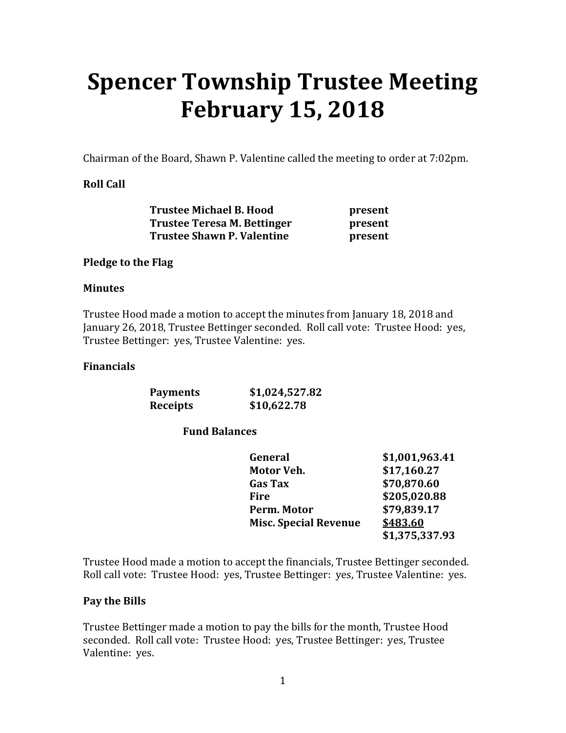# **Spencer Township Trustee Meeting February 15, 2018**

Chairman of the Board, Shawn P. Valentine called the meeting to order at 7:02pm.

#### **Roll Call**

| <b>Trustee Michael B. Hood</b>    | present |
|-----------------------------------|---------|
| Trustee Teresa M. Bettinger       | present |
| <b>Trustee Shawn P. Valentine</b> | present |

#### **Pledge to the Flag**

#### **Minutes**

Trustee Hood made a motion to accept the minutes from January 18, 2018 and January 26, 2018, Trustee Bettinger seconded. Roll call vote: Trustee Hood: yes, Trustee Bettinger: yes, Trustee Valentine: yes.

#### **Financials**

| <b>Payments</b> | \$1,024,527.82 |
|-----------------|----------------|
| Receipts        | \$10,622.78    |

#### **Fund Balances**

| General                      | \$1,001,963.41 |
|------------------------------|----------------|
| Motor Veh.                   | \$17,160.27    |
| <b>Gas Tax</b>               | \$70,870.60    |
| Fire                         | \$205,020.88   |
| Perm. Motor                  | \$79,839.17    |
| <b>Misc. Special Revenue</b> | \$483.60       |
|                              | \$1,375,337.93 |

Trustee Hood made a motion to accept the financials, Trustee Bettinger seconded. Roll call vote: Trustee Hood: yes, Trustee Bettinger: yes, Trustee Valentine: yes.

#### **Pay the Bills**

Trustee Bettinger made a motion to pay the bills for the month, Trustee Hood seconded. Roll call vote: Trustee Hood: yes, Trustee Bettinger: yes, Trustee Valentine: yes.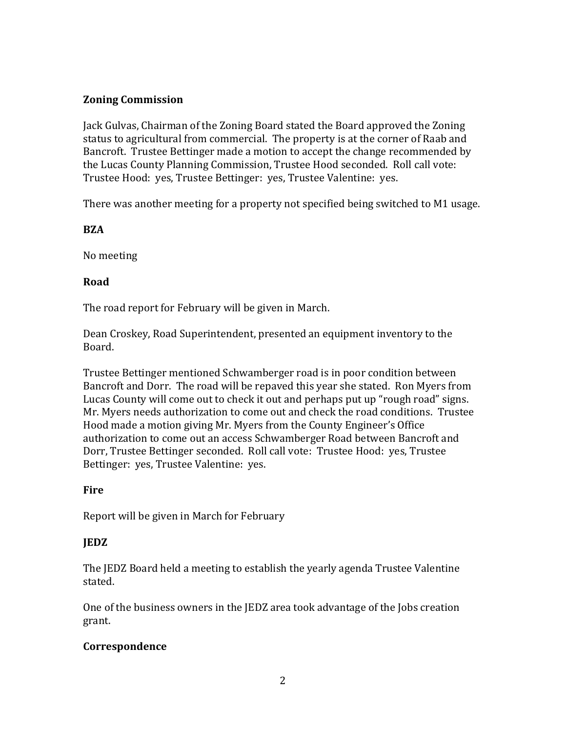#### **Zoning Commission**

Jack Gulvas, Chairman of the Zoning Board stated the Board approved the Zoning status to agricultural from commercial. The property is at the corner of Raab and Bancroft. Trustee Bettinger made a motion to accept the change recommended by the Lucas County Planning Commission, Trustee Hood seconded. Roll call vote: Trustee Hood: yes, Trustee Bettinger: yes, Trustee Valentine: yes.

There was another meeting for a property not specified being switched to M1 usage.

#### **BZA**

No meeting

#### **Road**

The road report for February will be given in March.

Dean Croskey, Road Superintendent, presented an equipment inventory to the Board.

Trustee Bettinger mentioned Schwamberger road is in poor condition between Bancroft and Dorr. The road will be repaved this year she stated. Ron Myers from Lucas County will come out to check it out and perhaps put up "rough road" signs. Mr. Myers needs authorization to come out and check the road conditions. Trustee Hood made a motion giving Mr. Myers from the County Engineer's Office authorization to come out an access Schwamberger Road between Bancroft and Dorr, Trustee Bettinger seconded. Roll call vote: Trustee Hood: yes, Trustee Bettinger: yes, Trustee Valentine: yes.

#### **Fire**

Report will be given in March for February

#### **JEDZ**

The JEDZ Board held a meeting to establish the yearly agenda Trustee Valentine stated.

One of the business owners in the JEDZ area took advantage of the Jobs creation grant.

#### **Correspondence**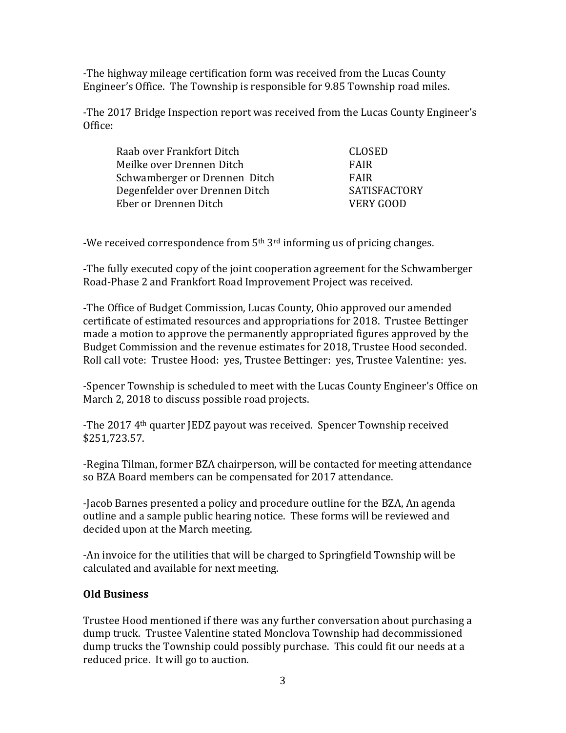-The highway mileage certification form was received from the Lucas County Engineer's Office. The Township is responsible for 9.85 Township road miles.

-The 2017 Bridge Inspection report was received from the Lucas County Engineer's Office:

| Raab over Frankfort Ditch      | CLOSED              |
|--------------------------------|---------------------|
| Meilke over Drennen Ditch      | FAIR                |
| Schwamberger or Drennen Ditch  | FAIR                |
| Degenfelder over Drennen Ditch | <b>SATISFACTORY</b> |
| Eber or Drennen Ditch          | VERY GOOD           |

-We received correspondence from  $5<sup>th</sup> 3<sup>rd</sup>$  informing us of pricing changes.

-The fully executed copy of the joint cooperation agreement for the Schwamberger Road-Phase 2 and Frankfort Road Improvement Project was received.

-The Office of Budget Commission, Lucas County, Ohio approved our amended certificate of estimated resources and appropriations for 2018. Trustee Bettinger made a motion to approve the permanently appropriated figures approved by the Budget Commission and the revenue estimates for 2018, Trustee Hood seconded. Roll call vote: Trustee Hood: yes, Trustee Bettinger: yes, Trustee Valentine: yes.

-Spencer Township is scheduled to meet with the Lucas County Engineer's Office on March 2, 2018 to discuss possible road projects.

-The 2017 4th quarter JEDZ payout was received. Spencer Township received \$251,723.57.

-Regina Tilman, former BZA chairperson, will be contacted for meeting attendance so BZA Board members can be compensated for 2017 attendance.

-Jacob Barnes presented a policy and procedure outline for the BZA, An agenda outline and a sample public hearing notice. These forms will be reviewed and decided upon at the March meeting.

-An invoice for the utilities that will be charged to Springfield Township will be calculated and available for next meeting.

#### **Old Business**

Trustee Hood mentioned if there was any further conversation about purchasing a dump truck. Trustee Valentine stated Monclova Township had decommissioned dump trucks the Township could possibly purchase. This could fit our needs at a reduced price. It will go to auction.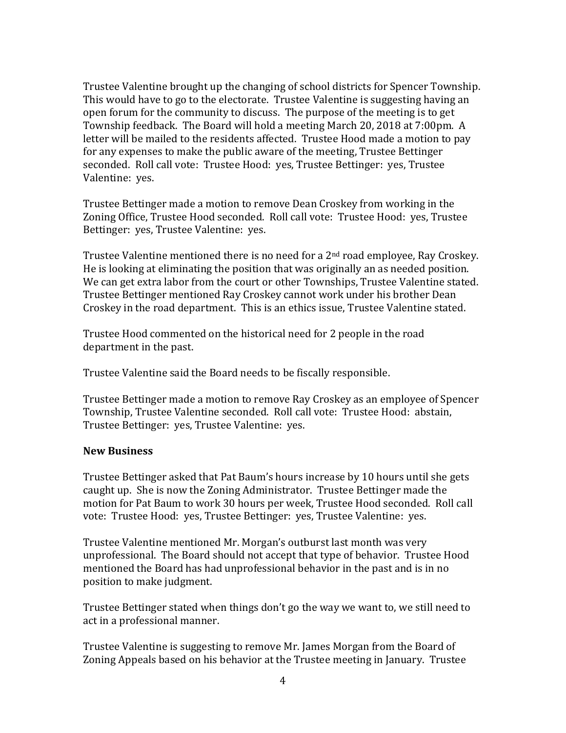Trustee Valentine brought up the changing of school districts for Spencer Township. This would have to go to the electorate. Trustee Valentine is suggesting having an open forum for the community to discuss. The purpose of the meeting is to get Township feedback. The Board will hold a meeting March 20, 2018 at 7:00pm. A letter will be mailed to the residents affected. Trustee Hood made a motion to pay for any expenses to make the public aware of the meeting, Trustee Bettinger seconded. Roll call vote: Trustee Hood: yes, Trustee Bettinger: yes, Trustee Valentine: yes.

Trustee Bettinger made a motion to remove Dean Croskey from working in the Zoning Office, Trustee Hood seconded. Roll call vote: Trustee Hood: yes, Trustee Bettinger: yes, Trustee Valentine: yes.

Trustee Valentine mentioned there is no need for a 2<sup>nd</sup> road employee, Ray Croskey. He is looking at eliminating the position that was originally an as needed position. We can get extra labor from the court or other Townships, Trustee Valentine stated. Trustee Bettinger mentioned Ray Croskey cannot work under his brother Dean Croskey in the road department. This is an ethics issue, Trustee Valentine stated.

Trustee Hood commented on the historical need for 2 people in the road department in the past.

Trustee Valentine said the Board needs to be fiscally responsible.

Trustee Bettinger made a motion to remove Ray Croskey as an employee of Spencer Township, Trustee Valentine seconded. Roll call vote: Trustee Hood: abstain, Trustee Bettinger: yes, Trustee Valentine: yes.

#### **New Business**

Trustee Bettinger asked that Pat Baum's hours increase by 10 hours until she gets caught up. She is now the Zoning Administrator. Trustee Bettinger made the motion for Pat Baum to work 30 hours per week, Trustee Hood seconded. Roll call vote: Trustee Hood: yes, Trustee Bettinger: yes, Trustee Valentine: yes.

Trustee Valentine mentioned Mr. Morgan's outburst last month was very unprofessional. The Board should not accept that type of behavior. Trustee Hood mentioned the Board has had unprofessional behavior in the past and is in no position to make judgment.

Trustee Bettinger stated when things don't go the way we want to, we still need to act in a professional manner.

Trustee Valentine is suggesting to remove Mr. James Morgan from the Board of Zoning Appeals based on his behavior at the Trustee meeting in January. Trustee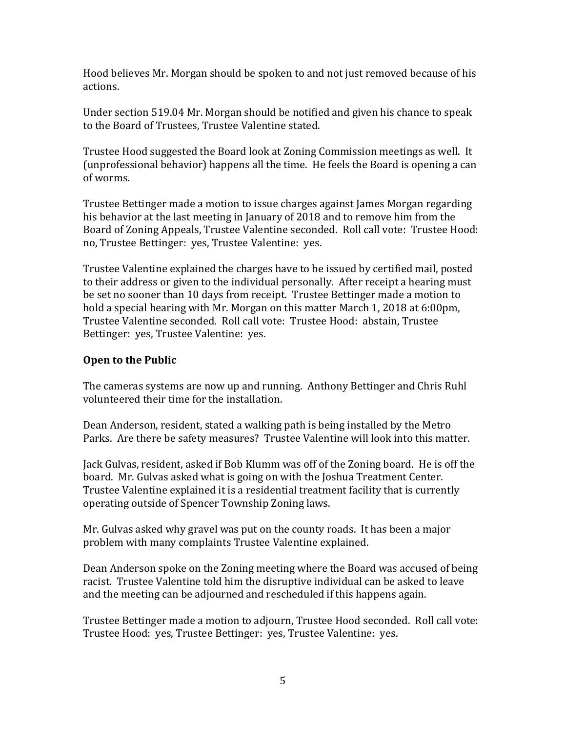Hood believes Mr. Morgan should be spoken to and not just removed because of his actions.

Under section 519.04 Mr. Morgan should be notified and given his chance to speak to the Board of Trustees, Trustee Valentine stated.

Trustee Hood suggested the Board look at Zoning Commission meetings as well. It (unprofessional behavior) happens all the time. He feels the Board is opening a can of worms.

Trustee Bettinger made a motion to issue charges against James Morgan regarding his behavior at the last meeting in January of 2018 and to remove him from the Board of Zoning Appeals, Trustee Valentine seconded. Roll call vote: Trustee Hood: no, Trustee Bettinger: yes, Trustee Valentine: yes.

Trustee Valentine explained the charges have to be issued by certified mail, posted to their address or given to the individual personally. After receipt a hearing must be set no sooner than 10 days from receipt. Trustee Bettinger made a motion to hold a special hearing with Mr. Morgan on this matter March 1, 2018 at 6:00pm, Trustee Valentine seconded. Roll call vote: Trustee Hood: abstain, Trustee Bettinger: yes, Trustee Valentine: yes.

#### **Open to the Public**

The cameras systems are now up and running. Anthony Bettinger and Chris Ruhl volunteered their time for the installation.

Dean Anderson, resident, stated a walking path is being installed by the Metro Parks. Are there be safety measures? Trustee Valentine will look into this matter.

Jack Gulvas, resident, asked if Bob Klumm was off of the Zoning board. He is off the board. Mr. Gulvas asked what is going on with the Joshua Treatment Center. Trustee Valentine explained it is a residential treatment facility that is currently operating outside of Spencer Township Zoning laws.

Mr. Gulvas asked why gravel was put on the county roads. It has been a major problem with many complaints Trustee Valentine explained.

Dean Anderson spoke on the Zoning meeting where the Board was accused of being racist. Trustee Valentine told him the disruptive individual can be asked to leave and the meeting can be adjourned and rescheduled if this happens again.

Trustee Bettinger made a motion to adjourn, Trustee Hood seconded. Roll call vote: Trustee Hood: yes, Trustee Bettinger: yes, Trustee Valentine: yes.